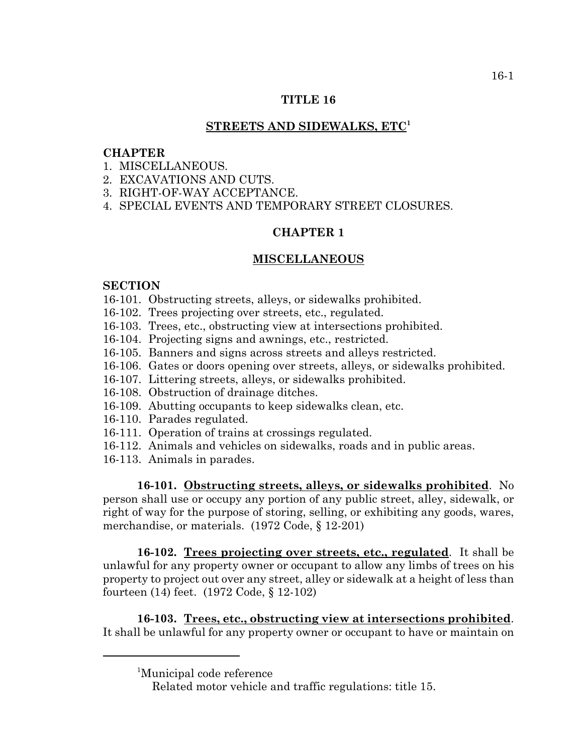# **TITLE 16**

# **STREETS AND SIDEWALKS, ETC<sup>1</sup>**

### **CHAPTER**

- 1 MISCELLANEOUS
- 2. EXCAVATIONS AND CUTS.
- 3. RIGHT-OF-WAY ACCEPTANCE.
- 4. SPECIAL EVENTS AND TEMPORARY STREET CLOSURES.

# **CHAPTER 1**

#### **MISCELLANEOUS**

# **SECTION**

- 16-101. Obstructing streets, alleys, or sidewalks prohibited.
- 16-102. Trees projecting over streets, etc., regulated.
- 16-103. Trees, etc., obstructing view at intersections prohibited.
- 16-104. Projecting signs and awnings, etc., restricted.
- 16-105. Banners and signs across streets and alleys restricted.
- 16-106. Gates or doors opening over streets, alleys, or sidewalks prohibited.
- 16-107. Littering streets, alleys, or sidewalks prohibited.
- 16-108. Obstruction of drainage ditches.
- 16-109. Abutting occupants to keep sidewalks clean, etc.
- 16-110. Parades regulated.
- 16-111. Operation of trains at crossings regulated.
- 16-112. Animals and vehicles on sidewalks, roads and in public areas.
- 16-113. Animals in parades.

**16-101. Obstructing streets, alleys, or sidewalks prohibited**. No person shall use or occupy any portion of any public street, alley, sidewalk, or right of way for the purpose of storing, selling, or exhibiting any goods, wares, merchandise, or materials. (1972 Code, § 12-201)

**16-102. Trees projecting over streets, etc., regulated**. It shall be unlawful for any property owner or occupant to allow any limbs of trees on his property to project out over any street, alley or sidewalk at a height of less than fourteen (14) feet. (1972 Code, § 12-102)

**16-103. Trees, etc., obstructing view at intersections prohibited**. It shall be unlawful for any property owner or occupant to have or maintain on

<sup>1</sup> Municipal code reference

Related motor vehicle and traffic regulations: title 15.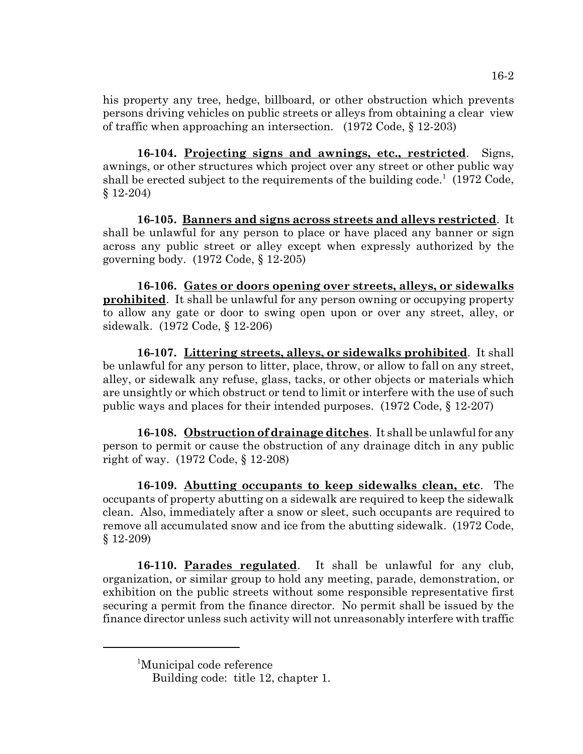his property any tree, hedge, billboard, or other obstruction which prevents persons driving vehicles on public streets or alleys from obtaining a clear view of traffic when approaching an intersection. (1972 Code, § 12-203)

**16-104. Projecting signs and awnings, etc., restricted**. Signs, awnings, or other structures which project over any street or other public way shall be erected subject to the requirements of the building code.<sup>1</sup> (1972 Code, § 12-204)

**16-105. Banners and signs across streets and alleys restricted**. It shall be unlawful for any person to place or have placed any banner or sign across any public street or alley except when expressly authorized by the governing body. (1972 Code, § 12-205)

**16-106. Gates or doors opening over streets, alleys, or sidewalks prohibited**. It shall be unlawful for any person owning or occupying property to allow any gate or door to swing open upon or over any street, alley, or sidewalk. (1972 Code, § 12-206)

**16-107. Littering streets, alleys, or sidewalks prohibited**. It shall be unlawful for any person to litter, place, throw, or allow to fall on any street, alley, or sidewalk any refuse, glass, tacks, or other objects or materials which are unsightly or which obstruct or tend to limit or interfere with the use of such public ways and places for their intended purposes. (1972 Code, § 12-207)

**16-108. Obstruction of drainage ditches**. It shall be unlawful for any person to permit or cause the obstruction of any drainage ditch in any public right of way. (1972 Code, § 12-208)

**16-109. Abutting occupants to keep sidewalks clean, etc**. The occupants of property abutting on a sidewalk are required to keep the sidewalk clean. Also, immediately after a snow or sleet, such occupants are required to remove all accumulated snow and ice from the abutting sidewalk. (1972 Code, § 12-209)

**16-110. Parades regulated**. It shall be unlawful for any club, organization, or similar group to hold any meeting, parade, demonstration, or exhibition on the public streets without some responsible representative first securing a permit from the finance director. No permit shall be issued by the finance director unless such activity will not unreasonably interfere with traffic

<sup>1</sup> Municipal code reference

Building code: title 12, chapter 1.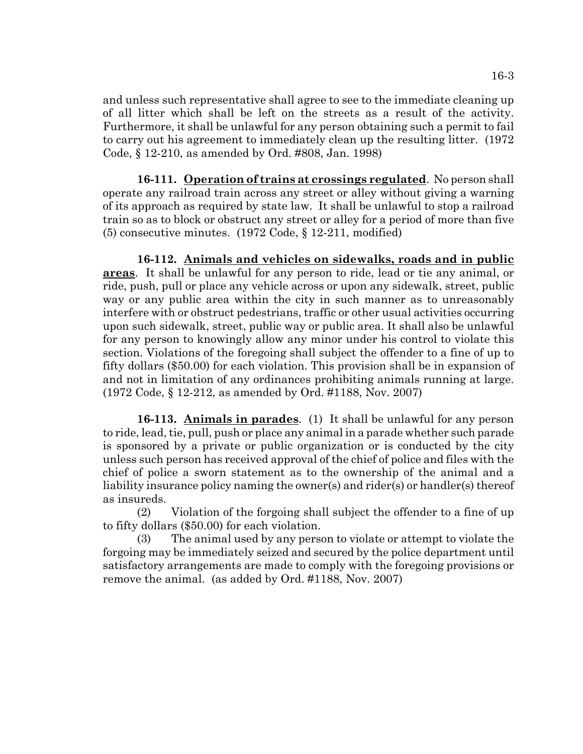and unless such representative shall agree to see to the immediate cleaning up of all litter which shall be left on the streets as a result of the activity. Furthermore, it shall be unlawful for any person obtaining such a permit to fail to carry out his agreement to immediately clean up the resulting litter. (1972 Code, § 12-210, as amended by Ord. #808, Jan. 1998)

**16-111. Operation of trains at crossings regulated**. No person shall operate any railroad train across any street or alley without giving a warning of its approach as required by state law. It shall be unlawful to stop a railroad train so as to block or obstruct any street or alley for a period of more than five (5) consecutive minutes. (1972 Code, § 12-211, modified)

**16-112. Animals and vehicles on sidewalks, roads and in public areas**. It shall be unlawful for any person to ride, lead or tie any animal, or ride, push, pull or place any vehicle across or upon any sidewalk, street, public way or any public area within the city in such manner as to unreasonably interfere with or obstruct pedestrians, traffic or other usual activities occurring upon such sidewalk, street, public way or public area. It shall also be unlawful for any person to knowingly allow any minor under his control to violate this section. Violations of the foregoing shall subject the offender to a fine of up to fifty dollars (\$50.00) for each violation. This provision shall be in expansion of and not in limitation of any ordinances prohibiting animals running at large. (1972 Code, § 12-212, as amended by Ord. #1188, Nov. 2007)

**16-113. Animals in parades**. (1) It shall be unlawful for any person to ride, lead, tie, pull, push or place any animal in a parade whether such parade is sponsored by a private or public organization or is conducted by the city unless such person has received approval of the chief of police and files with the chief of police a sworn statement as to the ownership of the animal and a liability insurance policy naming the owner(s) and rider(s) or handler(s) thereof as insureds.

(2) Violation of the forgoing shall subject the offender to a fine of up to fifty dollars (\$50.00) for each violation.

(3) The animal used by any person to violate or attempt to violate the forgoing may be immediately seized and secured by the police department until satisfactory arrangements are made to comply with the foregoing provisions or remove the animal. (as added by Ord. #1188, Nov. 2007)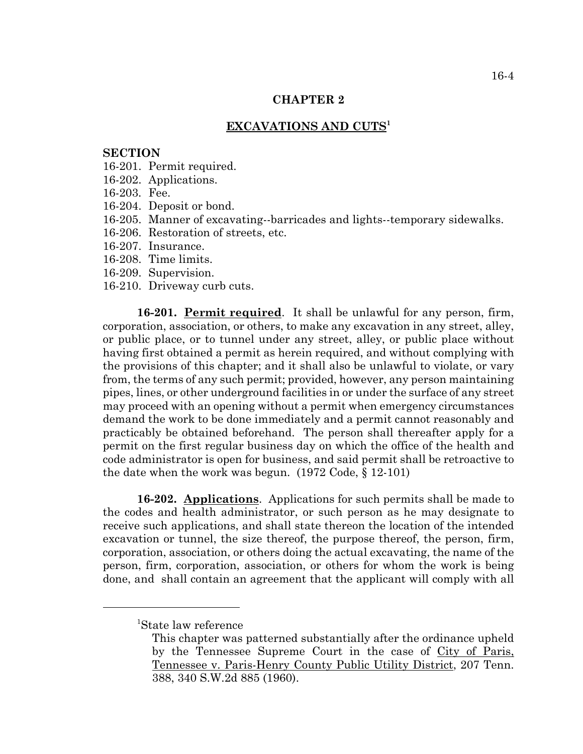## **CHAPTER 2**

# **EXCAVATIONS AND CUTS<sup>1</sup>**

#### **SECTION**

- 16-201. Permit required.
- 16-202. Applications.
- 16-203. Fee.
- 16-204. Deposit or bond.
- 16-205. Manner of excavating--barricades and lights--temporary sidewalks.
- 16-206. Restoration of streets, etc.
- 16-207. Insurance.
- 16-208. Time limits.
- 16-209. Supervision.
- 16-210. Driveway curb cuts.

**16-201. Permit required**. It shall be unlawful for any person, firm, corporation, association, or others, to make any excavation in any street, alley, or public place, or to tunnel under any street, alley, or public place without having first obtained a permit as herein required, and without complying with the provisions of this chapter; and it shall also be unlawful to violate, or vary from, the terms of any such permit; provided, however, any person maintaining pipes, lines, or other underground facilities in or under the surface of any street may proceed with an opening without a permit when emergency circumstances demand the work to be done immediately and a permit cannot reasonably and practicably be obtained beforehand. The person shall thereafter apply for a permit on the first regular business day on which the office of the health and code administrator is open for business, and said permit shall be retroactive to the date when the work was begun. (1972 Code, § 12-101)

**16-202. Applications**. Applications for such permits shall be made to the codes and health administrator, or such person as he may designate to receive such applications, and shall state thereon the location of the intended excavation or tunnel, the size thereof, the purpose thereof, the person, firm, corporation, association, or others doing the actual excavating, the name of the person, firm, corporation, association, or others for whom the work is being done, and shall contain an agreement that the applicant will comply with all

<sup>1</sup> State law reference

This chapter was patterned substantially after the ordinance upheld by the Tennessee Supreme Court in the case of City of Paris, Tennessee v. Paris-Henry County Public Utility District, 207 Tenn. 388, 340 S.W.2d 885 (1960).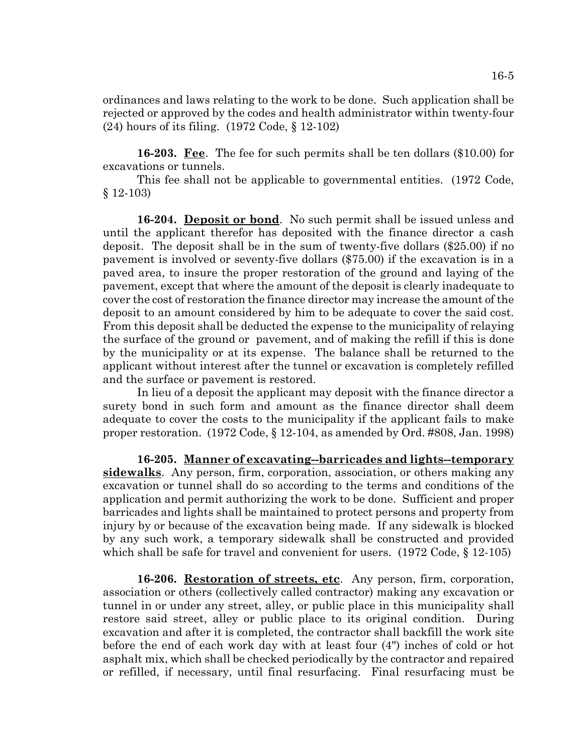ordinances and laws relating to the work to be done. Such application shall be rejected or approved by the codes and health administrator within twenty-four (24) hours of its filing. (1972 Code, § 12-102)

**16-203. Fee**. The fee for such permits shall be ten dollars (\$10.00) for excavations or tunnels.

This fee shall not be applicable to governmental entities. (1972 Code, § 12-103)

**16-204. Deposit or bond**. No such permit shall be issued unless and until the applicant therefor has deposited with the finance director a cash deposit. The deposit shall be in the sum of twenty-five dollars (\$25.00) if no pavement is involved or seventy-five dollars (\$75.00) if the excavation is in a paved area, to insure the proper restoration of the ground and laying of the pavement, except that where the amount of the deposit is clearly inadequate to cover the cost of restoration the finance director may increase the amount of the deposit to an amount considered by him to be adequate to cover the said cost. From this deposit shall be deducted the expense to the municipality of relaying the surface of the ground or pavement, and of making the refill if this is done by the municipality or at its expense. The balance shall be returned to the applicant without interest after the tunnel or excavation is completely refilled and the surface or pavement is restored.

In lieu of a deposit the applicant may deposit with the finance director a surety bond in such form and amount as the finance director shall deem adequate to cover the costs to the municipality if the applicant fails to make proper restoration. (1972 Code, § 12-104, as amended by Ord. #808, Jan. 1998)

**16-205. Manner of excavating--barricades and lights--temporary sidewalks**. Any person, firm, corporation, association, or others making any excavation or tunnel shall do so according to the terms and conditions of the application and permit authorizing the work to be done. Sufficient and proper barricades and lights shall be maintained to protect persons and property from injury by or because of the excavation being made. If any sidewalk is blocked by any such work, a temporary sidewalk shall be constructed and provided which shall be safe for travel and convenient for users. (1972 Code, § 12-105)

**16-206. Restoration of streets, etc**. Any person, firm, corporation, association or others (collectively called contractor) making any excavation or tunnel in or under any street, alley, or public place in this municipality shall restore said street, alley or public place to its original condition. During excavation and after it is completed, the contractor shall backfill the work site before the end of each work day with at least four (4") inches of cold or hot asphalt mix, which shall be checked periodically by the contractor and repaired or refilled, if necessary, until final resurfacing. Final resurfacing must be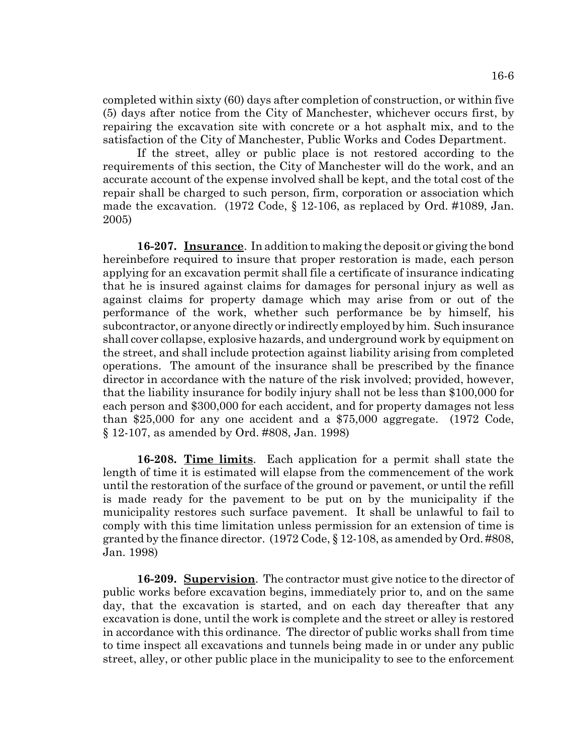completed within sixty (60) days after completion of construction, or within five (5) days after notice from the City of Manchester, whichever occurs first, by repairing the excavation site with concrete or a hot asphalt mix, and to the satisfaction of the City of Manchester, Public Works and Codes Department.

If the street, alley or public place is not restored according to the requirements of this section, the City of Manchester will do the work, and an accurate account of the expense involved shall be kept, and the total cost of the repair shall be charged to such person, firm, corporation or association which made the excavation. (1972 Code, § 12-106, as replaced by Ord. #1089, Jan. 2005)

**16-207. Insurance**. In addition to making the deposit or giving the bond hereinbefore required to insure that proper restoration is made, each person applying for an excavation permit shall file a certificate of insurance indicating that he is insured against claims for damages for personal injury as well as against claims for property damage which may arise from or out of the performance of the work, whether such performance be by himself, his subcontractor, or anyone directly or indirectly employed by him. Such insurance shall cover collapse, explosive hazards, and underground work by equipment on the street, and shall include protection against liability arising from completed operations. The amount of the insurance shall be prescribed by the finance director in accordance with the nature of the risk involved; provided, however, that the liability insurance for bodily injury shall not be less than \$100,000 for each person and \$300,000 for each accident, and for property damages not less than \$25,000 for any one accident and a \$75,000 aggregate. (1972 Code, § 12-107, as amended by Ord. #808, Jan. 1998)

**16-208. Time limits**. Each application for a permit shall state the length of time it is estimated will elapse from the commencement of the work until the restoration of the surface of the ground or pavement, or until the refill is made ready for the pavement to be put on by the municipality if the municipality restores such surface pavement. It shall be unlawful to fail to comply with this time limitation unless permission for an extension of time is granted by the finance director. (1972 Code, § 12-108, as amended by Ord. #808, Jan. 1998)

**16-209. Supervision**. The contractor must give notice to the director of public works before excavation begins, immediately prior to, and on the same day, that the excavation is started, and on each day thereafter that any excavation is done, until the work is complete and the street or alley is restored in accordance with this ordinance. The director of public works shall from time to time inspect all excavations and tunnels being made in or under any public street, alley, or other public place in the municipality to see to the enforcement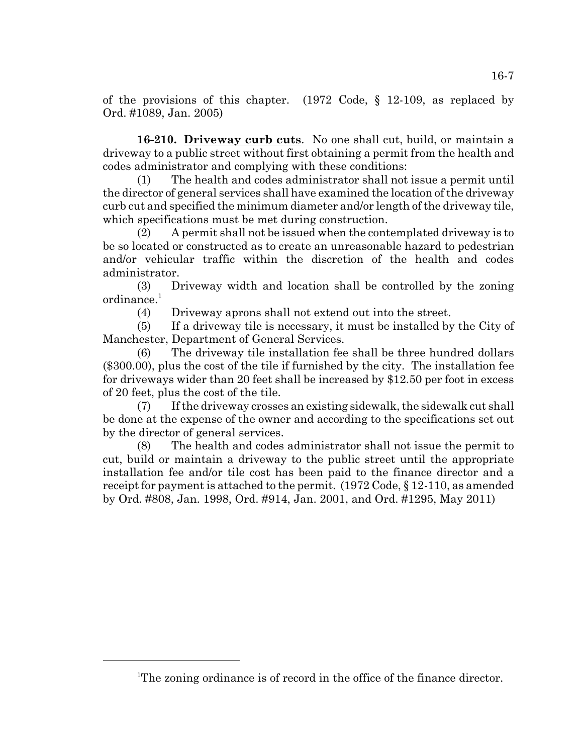of the provisions of this chapter. (1972 Code, § 12-109, as replaced by Ord. #1089, Jan. 2005)

**16-210. Driveway curb cuts**. No one shall cut, build, or maintain a driveway to a public street without first obtaining a permit from the health and codes administrator and complying with these conditions:

(1) The health and codes administrator shall not issue a permit until the director of general services shall have examined the location of the driveway curb cut and specified the minimum diameter and/or length of the driveway tile, which specifications must be met during construction.

(2) A permit shall not be issued when the contemplated driveway is to be so located or constructed as to create an unreasonable hazard to pedestrian and/or vehicular traffic within the discretion of the health and codes administrator.

(3) Driveway width and location shall be controlled by the zoning  $ordinate<sup>1</sup>$ 

(4) Driveway aprons shall not extend out into the street.

(5) If a driveway tile is necessary, it must be installed by the City of Manchester, Department of General Services.

(6) The driveway tile installation fee shall be three hundred dollars (\$300.00), plus the cost of the tile if furnished by the city. The installation fee for driveways wider than 20 feet shall be increased by \$12.50 per foot in excess of 20 feet, plus the cost of the tile.

(7) If the driveway crosses an existing sidewalk, the sidewalk cut shall be done at the expense of the owner and according to the specifications set out by the director of general services.

(8) The health and codes administrator shall not issue the permit to cut, build or maintain a driveway to the public street until the appropriate installation fee and/or tile cost has been paid to the finance director and a receipt for payment is attached to the permit. (1972 Code, § 12-110, as amended by Ord. #808, Jan. 1998, Ord. #914, Jan. 2001, and Ord. #1295, May 2011)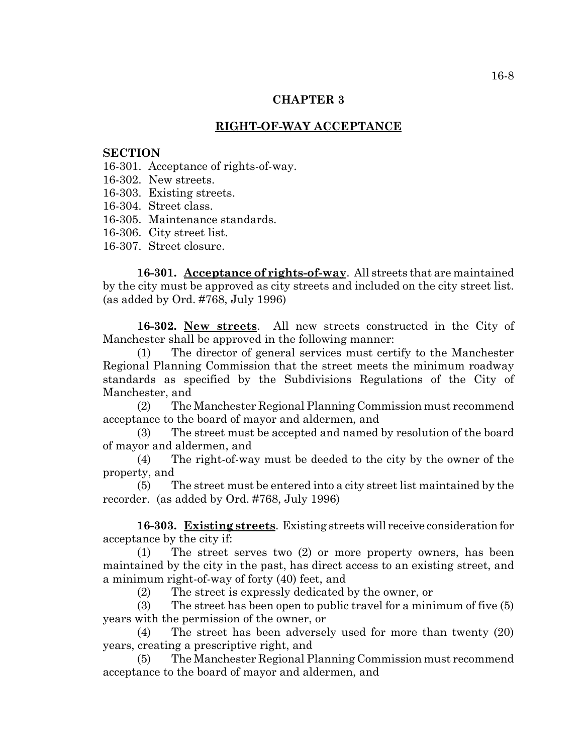# **CHAPTER 3**

# **RIGHT-OF-WAY ACCEPTANCE**

### **SECTION**

16-301. Acceptance of rights-of-way.

16-302. New streets.

16-303. Existing streets.

16-304. Street class.

16-305. Maintenance standards.

16-306. City street list.

16-307. Street closure.

**16-301. Acceptance of rights-of-way**. All streets that are maintained by the city must be approved as city streets and included on the city street list. (as added by Ord. #768, July 1996)

**16-302. New streets**. All new streets constructed in the City of Manchester shall be approved in the following manner:

(1) The director of general services must certify to the Manchester Regional Planning Commission that the street meets the minimum roadway standards as specified by the Subdivisions Regulations of the City of Manchester, and

(2) The Manchester Regional Planning Commission must recommend acceptance to the board of mayor and aldermen, and

(3) The street must be accepted and named by resolution of the board of mayor and aldermen, and

(4) The right-of-way must be deeded to the city by the owner of the property, and

(5) The street must be entered into a city street list maintained by the recorder. (as added by Ord. #768, July 1996)

**16-303. Existing streets**. Existing streets will receive consideration for acceptance by the city if:

(1) The street serves two (2) or more property owners, has been maintained by the city in the past, has direct access to an existing street, and a minimum right-of-way of forty (40) feet, and

(2) The street is expressly dedicated by the owner, or

(3) The street has been open to public travel for a minimum of five (5) years with the permission of the owner, or

(4) The street has been adversely used for more than twenty (20) years, creating a prescriptive right, and

(5) The Manchester Regional Planning Commission must recommend acceptance to the board of mayor and aldermen, and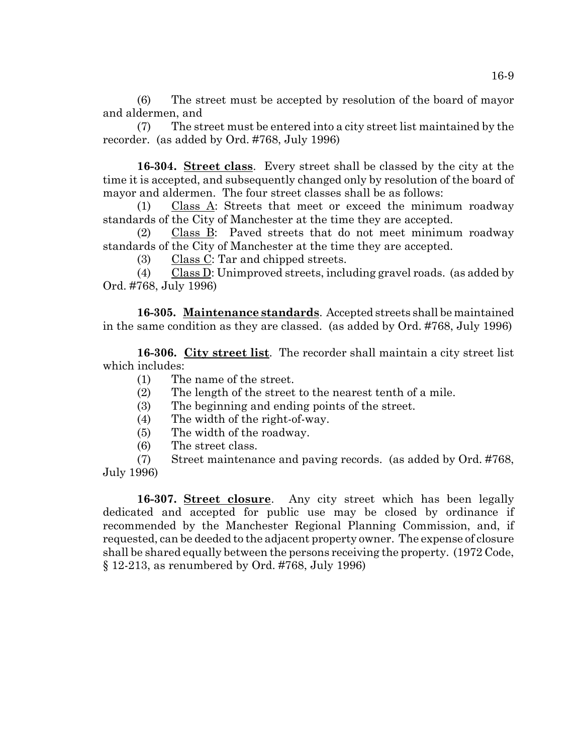(6) The street must be accepted by resolution of the board of mayor and aldermen, and

(7) The street must be entered into a city street list maintained by the recorder. (as added by Ord. #768, July 1996)

**16-304. Street class**. Every street shall be classed by the city at the time it is accepted, and subsequently changed only by resolution of the board of mayor and aldermen. The four street classes shall be as follows:

(1) Class A: Streets that meet or exceed the minimum roadway standards of the City of Manchester at the time they are accepted.

(2) Class B: Paved streets that do not meet minimum roadway standards of the City of Manchester at the time they are accepted.

(3) Class C: Tar and chipped streets.

(4) Class D: Unimproved streets, including gravel roads. (as added by Ord. #768, July 1996)

**16-305. Maintenance standards**. Accepted streets shall be maintained in the same condition as they are classed. (as added by Ord. #768, July 1996)

**16-306. City street list**. The recorder shall maintain a city street list which includes:

- (1) The name of the street.
- (2) The length of the street to the nearest tenth of a mile.
- (3) The beginning and ending points of the street.
- (4) The width of the right-of-way.
- (5) The width of the roadway.
- (6) The street class.

(7) Street maintenance and paving records. (as added by Ord. #768, July 1996)

**16-307. Street closure**. Any city street which has been legally dedicated and accepted for public use may be closed by ordinance if recommended by the Manchester Regional Planning Commission, and, if requested, can be deeded to the adjacent property owner. The expense of closure shall be shared equally between the persons receiving the property. (1972 Code, § 12-213, as renumbered by Ord. #768, July 1996)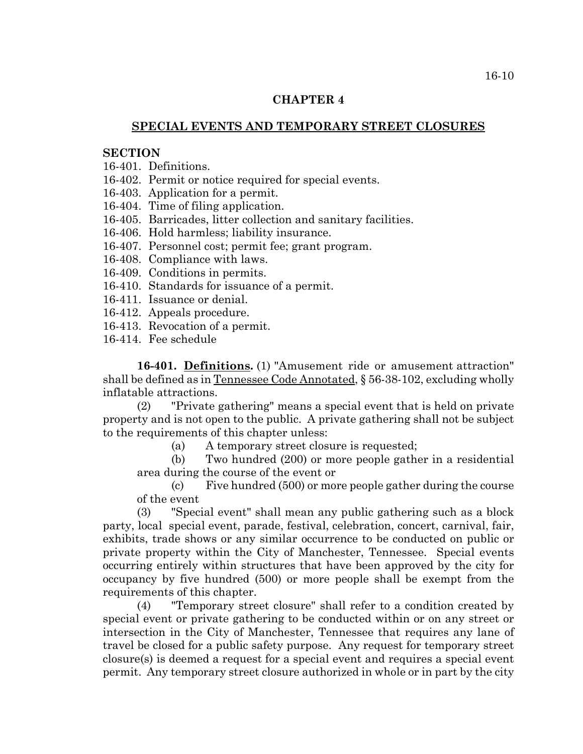# **CHAPTER 4**

# **SPECIAL EVENTS AND TEMPORARY STREET CLOSURES**

## **SECTION**

- 16-401. Definitions.
- 16-402. Permit or notice required for special events.
- 16-403. Application for a permit.
- 16-404. Time of filing application.
- 16-405. Barricades, litter collection and sanitary facilities.
- 16-406. Hold harmless; liability insurance.
- 16-407. Personnel cost; permit fee; grant program.
- 16-408. Compliance with laws.
- 16-409. Conditions in permits.
- 16-410. Standards for issuance of a permit.
- 16-411. Issuance or denial.
- 16-412. Appeals procedure.
- 16-413. Revocation of a permit.
- 16-414. Fee schedule

**16-401. Definitions.** (1) "Amusement ride or amusement attraction" shall be defined as in Tennessee Code Annotated, § 56-38-102, excluding wholly inflatable attractions.

(2) "Private gathering" means a special event that is held on private property and is not open to the public. A private gathering shall not be subject to the requirements of this chapter unless:

(a) A temporary street closure is requested;

(b) Two hundred (200) or more people gather in a residential area during the course of the event or

(c) Five hundred (500) or more people gather during the course of the event

(3) "Special event" shall mean any public gathering such as a block party, local special event, parade, festival, celebration, concert, carnival, fair, exhibits, trade shows or any similar occurrence to be conducted on public or private property within the City of Manchester, Tennessee. Special events occurring entirely within structures that have been approved by the city for occupancy by five hundred (500) or more people shall be exempt from the requirements of this chapter.

(4) "Temporary street closure" shall refer to a condition created by special event or private gathering to be conducted within or on any street or intersection in the City of Manchester, Tennessee that requires any lane of travel be closed for a public safety purpose. Any request for temporary street closure(s) is deemed a request for a special event and requires a special event permit. Any temporary street closure authorized in whole or in part by the city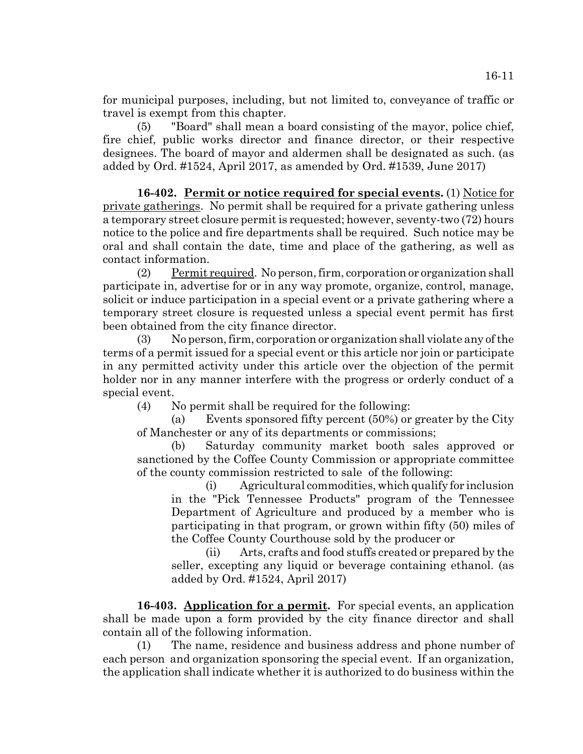for municipal purposes, including, but not limited to, conveyance of traffic or travel is exempt from this chapter.

(5) "Board" shall mean a board consisting of the mayor, police chief, fire chief, public works director and finance director, or their respective designees. The board of mayor and aldermen shall be designated as such. (as added by Ord. #1524, April 2017, as amended by Ord. #1539, June 2017)

**16-402. Permit or notice required for special events.** (1) Notice for private gatherings. No permit shall be required for a private gathering unless a temporary street closure permit is requested; however, seventy-two (72) hours notice to the police and fire departments shall be required. Such notice may be oral and shall contain the date, time and place of the gathering, as well as contact information.

(2) Permit required. No person, firm, corporation or organization shall participate in, advertise for or in any way promote, organize, control, manage, solicit or induce participation in a special event or a private gathering where a temporary street closure is requested unless a special event permit has first been obtained from the city finance director.

(3) No person, firm, corporation or organization shall violate any of the terms of a permit issued for a special event or this article nor join or participate in any permitted activity under this article over the objection of the permit holder nor in any manner interfere with the progress or orderly conduct of a special event.

(4) No permit shall be required for the following:

(a) Events sponsored fifty percent (50%) or greater by the City of Manchester or any of its departments or commissions;

(b) Saturday community market booth sales approved or sanctioned by the Coffee County Commission or appropriate committee of the county commission restricted to sale of the following:

(i) Agricultural commodities, which qualify for inclusion in the "Pick Tennessee Products" program of the Tennessee Department of Agriculture and produced by a member who is participating in that program, or grown within fifty (50) miles of the Coffee County Courthouse sold by the producer or

(ii) Arts, crafts and food stuffs created or prepared by the seller, excepting any liquid or beverage containing ethanol. (as added by Ord. #1524, April 2017)

**16-403. Application for a permit.** For special events, an application shall be made upon a form provided by the city finance director and shall contain all of the following information.

(1) The name, residence and business address and phone number of each person and organization sponsoring the special event. If an organization, the application shall indicate whether it is authorized to do business within the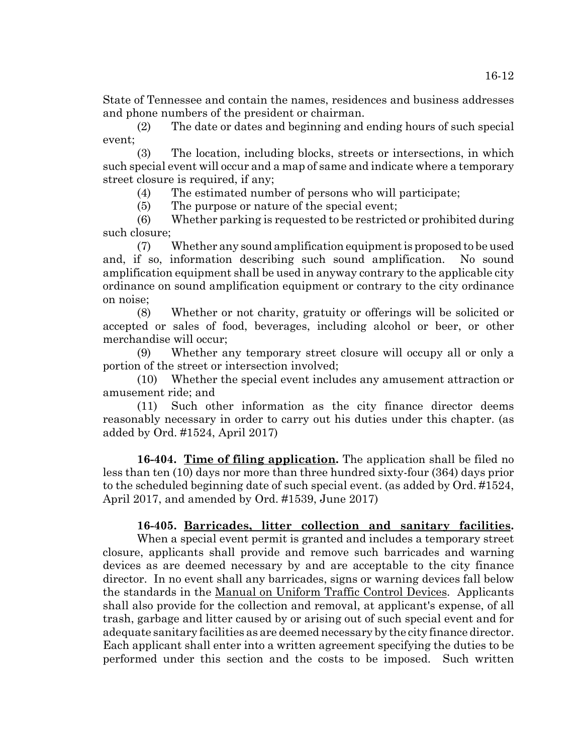State of Tennessee and contain the names, residences and business addresses and phone numbers of the president or chairman.

(2) The date or dates and beginning and ending hours of such special event;

(3) The location, including blocks, streets or intersections, in which such special event will occur and a map of same and indicate where a temporary street closure is required, if any;

(4) The estimated number of persons who will participate;

(5) The purpose or nature of the special event;

(6) Whether parking is requested to be restricted or prohibited during such closure;

(7) Whether any sound amplification equipment is proposed to be used and, if so, information describing such sound amplification. No sound amplification equipment shall be used in anyway contrary to the applicable city ordinance on sound amplification equipment or contrary to the city ordinance on noise;

(8) Whether or not charity, gratuity or offerings will be solicited or accepted or sales of food, beverages, including alcohol or beer, or other merchandise will occur;

(9) Whether any temporary street closure will occupy all or only a portion of the street or intersection involved;

(10) Whether the special event includes any amusement attraction or amusement ride; and

(11) Such other information as the city finance director deems reasonably necessary in order to carry out his duties under this chapter. (as added by Ord. #1524, April 2017)

**16-404. Time of filing application.** The application shall be filed no less than ten (10) days nor more than three hundred sixty-four (364) days prior to the scheduled beginning date of such special event. (as added by Ord. #1524, April 2017, and amended by Ord. #1539, June 2017)

# **16-405. Barricades, litter collection and sanitary facilities.**

When a special event permit is granted and includes a temporary street closure, applicants shall provide and remove such barricades and warning devices as are deemed necessary by and are acceptable to the city finance director. In no event shall any barricades, signs or warning devices fall below the standards in the Manual on Uniform Traffic Control Devices. Applicants shall also provide for the collection and removal, at applicant's expense, of all trash, garbage and litter caused by or arising out of such special event and for adequate sanitary facilities as are deemed necessary by the city finance director. Each applicant shall enter into a written agreement specifying the duties to be performed under this section and the costs to be imposed. Such written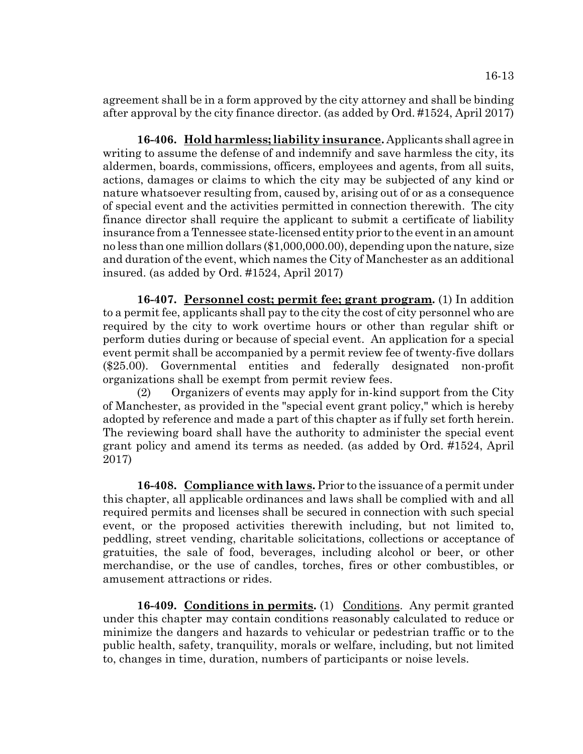agreement shall be in a form approved by the city attorney and shall be binding after approval by the city finance director. (as added by Ord. #1524, April 2017)

**16-406. Hold harmless; liability insurance.** Applicants shall agree in writing to assume the defense of and indemnify and save harmless the city, its aldermen, boards, commissions, officers, employees and agents, from all suits, actions, damages or claims to which the city may be subjected of any kind or nature whatsoever resulting from, caused by, arising out of or as a consequence of special event and the activities permitted in connection therewith. The city finance director shall require the applicant to submit a certificate of liability insurance from a Tennessee state-licensed entity prior to the event in an amount no less than one million dollars (\$1,000,000.00), depending upon the nature, size and duration of the event, which names the City of Manchester as an additional insured. (as added by Ord. #1524, April 2017)

**16-407. Personnel cost; permit fee; grant program.** (1) In addition to a permit fee, applicants shall pay to the city the cost of city personnel who are required by the city to work overtime hours or other than regular shift or perform duties during or because of special event. An application for a special event permit shall be accompanied by a permit review fee of twenty-five dollars (\$25.00). Governmental entities and federally designated non-profit organizations shall be exempt from permit review fees.

(2) Organizers of events may apply for in-kind support from the City of Manchester, as provided in the "special event grant policy," which is hereby adopted by reference and made a part of this chapter as if fully set forth herein. The reviewing board shall have the authority to administer the special event grant policy and amend its terms as needed. (as added by Ord. #1524, April 2017)

**16-408. Compliance with laws.** Prior to the issuance of a permit under this chapter, all applicable ordinances and laws shall be complied with and all required permits and licenses shall be secured in connection with such special event, or the proposed activities therewith including, but not limited to, peddling, street vending, charitable solicitations, collections or acceptance of gratuities, the sale of food, beverages, including alcohol or beer, or other merchandise, or the use of candles, torches, fires or other combustibles, or amusement attractions or rides.

**16-409. Conditions in permits.** (1) Conditions. Any permit granted under this chapter may contain conditions reasonably calculated to reduce or minimize the dangers and hazards to vehicular or pedestrian traffic or to the public health, safety, tranquility, morals or welfare, including, but not limited to, changes in time, duration, numbers of participants or noise levels.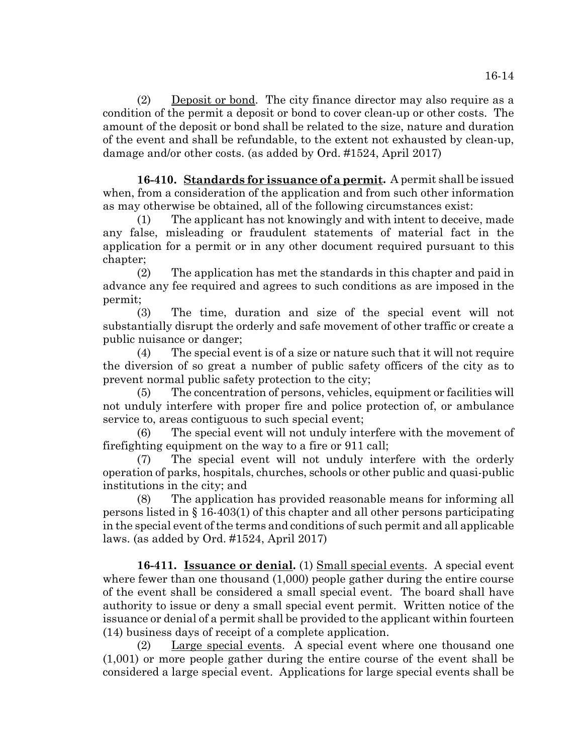(2) Deposit or bond. The city finance director may also require as a condition of the permit a deposit or bond to cover clean-up or other costs. The amount of the deposit or bond shall be related to the size, nature and duration of the event and shall be refundable, to the extent not exhausted by clean-up, damage and/or other costs. (as added by Ord. #1524, April 2017)

**16-410. Standards for issuance of a permit.** A permit shall be issued when, from a consideration of the application and from such other information as may otherwise be obtained, all of the following circumstances exist:

(1) The applicant has not knowingly and with intent to deceive, made any false, misleading or fraudulent statements of material fact in the application for a permit or in any other document required pursuant to this chapter;

(2) The application has met the standards in this chapter and paid in advance any fee required and agrees to such conditions as are imposed in the permit;

(3) The time, duration and size of the special event will not substantially disrupt the orderly and safe movement of other traffic or create a public nuisance or danger;

(4) The special event is of a size or nature such that it will not require the diversion of so great a number of public safety officers of the city as to prevent normal public safety protection to the city;

(5) The concentration of persons, vehicles, equipment or facilities will not unduly interfere with proper fire and police protection of, or ambulance service to, areas contiguous to such special event;

(6) The special event will not unduly interfere with the movement of firefighting equipment on the way to a fire or 911 call;

(7) The special event will not unduly interfere with the orderly operation of parks, hospitals, churches, schools or other public and quasi-public institutions in the city; and

(8) The application has provided reasonable means for informing all persons listed in § 16-403(1) of this chapter and all other persons participating in the special event of the terms and conditions of such permit and all applicable laws. (as added by Ord. #1524, April 2017)

16-411. **Issuance or denial.** (1) Small special events. A special event where fewer than one thousand  $(1,000)$  people gather during the entire course of the event shall be considered a small special event. The board shall have authority to issue or deny a small special event permit. Written notice of the issuance or denial of a permit shall be provided to the applicant within fourteen (14) business days of receipt of a complete application.

(2) Large special events. A special event where one thousand one (1,001) or more people gather during the entire course of the event shall be considered a large special event. Applications for large special events shall be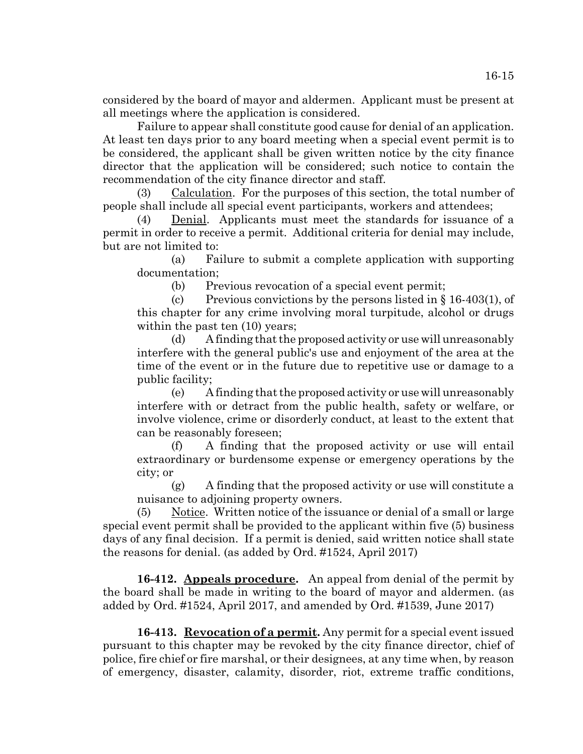considered by the board of mayor and aldermen. Applicant must be present at all meetings where the application is considered.

Failure to appear shall constitute good cause for denial of an application. At least ten days prior to any board meeting when a special event permit is to be considered, the applicant shall be given written notice by the city finance director that the application will be considered; such notice to contain the recommendation of the city finance director and staff.

Calculation. For the purposes of this section, the total number of people shall include all special event participants, workers and attendees;

(4) Denial. Applicants must meet the standards for issuance of a permit in order to receive a permit. Additional criteria for denial may include, but are not limited to:

(a) Failure to submit a complete application with supporting documentation;

(b) Previous revocation of a special event permit;

(c) Previous convictions by the persons listed in  $\S 16-403(1)$ , of this chapter for any crime involving moral turpitude, alcohol or drugs within the past ten  $(10)$  years;

(d) A finding that the proposed activity or use will unreasonably interfere with the general public's use and enjoyment of the area at the time of the event or in the future due to repetitive use or damage to a public facility;

(e) A finding that the proposed activity or use will unreasonably interfere with or detract from the public health, safety or welfare, or involve violence, crime or disorderly conduct, at least to the extent that can be reasonably foreseen;

(f) A finding that the proposed activity or use will entail extraordinary or burdensome expense or emergency operations by the city; or

(g) A finding that the proposed activity or use will constitute a nuisance to adjoining property owners.

 $(5)$  Notice. Written notice of the issuance or denial of a small or large special event permit shall be provided to the applicant within five (5) business days of any final decision. If a permit is denied, said written notice shall state the reasons for denial. (as added by Ord. #1524, April 2017)

**16-412. Appeals procedure.** An appeal from denial of the permit by the board shall be made in writing to the board of mayor and aldermen. (as added by Ord. #1524, April 2017, and amended by Ord. #1539, June 2017)

**16-413. Revocation of a permit.** Any permit for a special event issued pursuant to this chapter may be revoked by the city finance director, chief of police, fire chief or fire marshal, or their designees, at any time when, by reason of emergency, disaster, calamity, disorder, riot, extreme traffic conditions,